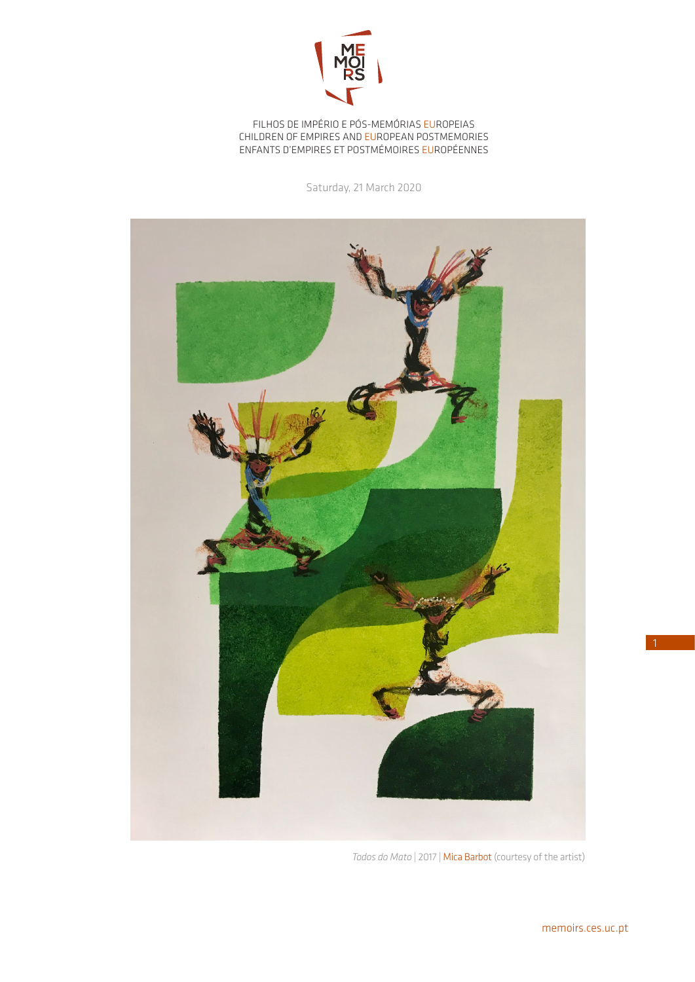

FILHOS DE IMPÉRIO E PÓS-MEMÓRIAS EUROPEIAS CHILDREN OF EMPIRES AND EUROPEAN POSTMEMORIES ENFANTS D'EMPIRES ET POSTMÉMOIRES EUROPÉENNES

Saturday, 21 March 2020



*Todos do Mato* | 2017 | Mica Barbot (courtesy of the artist)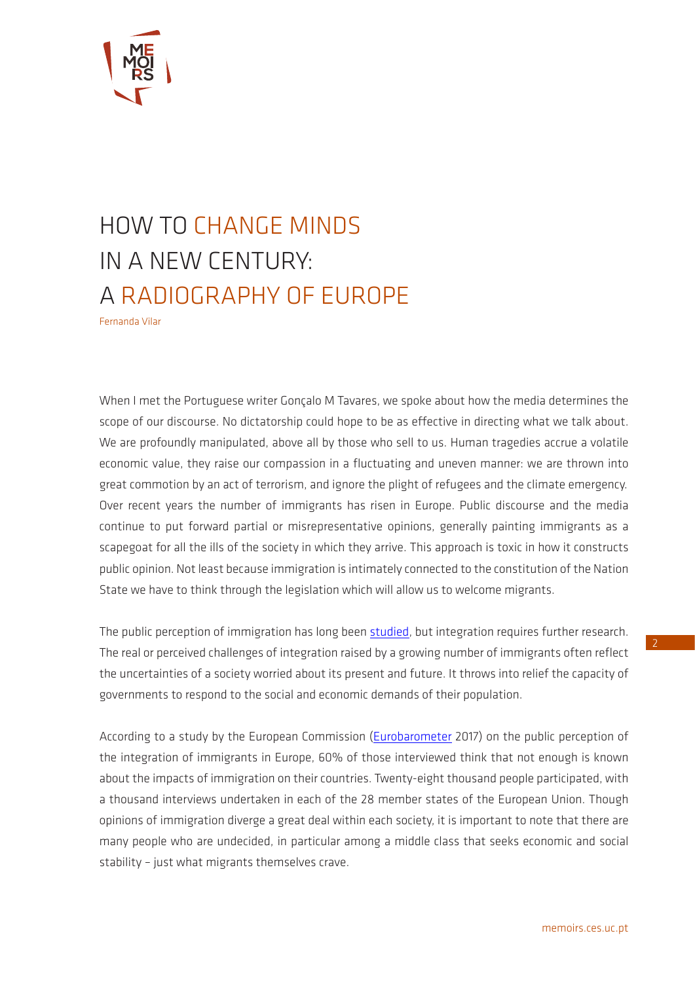

## HOW TO CHANGE MINDS IN A NEW CENTURY: A RADIOGRAPHY OF EUROPE

Fernanda Vilar

When I met the Portuguese writer Gonçalo M Tavares, we spoke about how the media determines the scope of our discourse. No dictatorship could hope to be as effective in directing what we talk about. We are profoundly manipulated, above all by those who sell to us. Human tragedies accrue a volatile economic value, they raise our compassion in a fluctuating and uneven manner: we are thrown into great commotion by an act of terrorism, and ignore the plight of refugees and the climate emergency. Over recent years the number of immigrants has risen in Europe. Public discourse and the media continue to put forward partial or misrepresentative opinions, generally painting immigrants as a scapegoat for all the ills of the society in which they arrive. This approach is toxic in how it constructs public opinion. Not least because immigration is intimately connected to the constitution of the Nation State we have to think through the legislation which will allow us to welcome migrants.

The public perception of immigration has long been [studied,](https://www.annualreviews.org/doi/10.1146/annurev-polisci-102512-194818) but integration requires further research. The real or perceived challenges of integration raised by a growing number of immigrants often reflect the uncertainties of a society worried about its present and future. It throws into relief the capacity of governments to respond to the social and economic demands of their population.

According to a study by the European Commission ([Eurobarometer](https://ec.europa.eu/home-affairs/news/results-special-eurobarometer-integration-immigrants-european-union_en) 2017) on the public perception of the integration of immigrants in Europe, 60% of those interviewed think that not enough is known about the impacts of immigration on their countries. Twenty-eight thousand people participated, with a thousand interviews undertaken in each of the 28 member states of the European Union. Though opinions of immigration diverge a great deal within each society, it is important to note that there are many people who are undecided, in particular among a middle class that seeks economic and social stability – just what migrants themselves crave.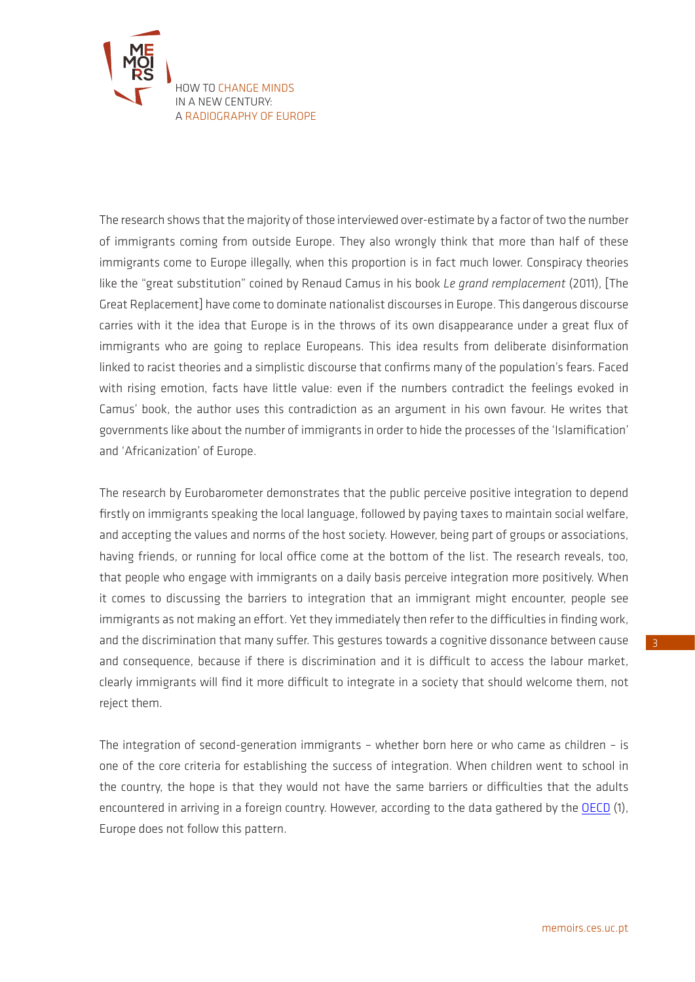

The research shows that the majority of those interviewed over-estimate by a factor of two the number of immigrants coming from outside Europe. They also wrongly think that more than half of these immigrants come to Europe illegally, when this proportion is in fact much lower. Conspiracy theories like the "great substitution" coined by Renaud Camus in his book *Le grand remplacement* (2011), [The Great Replacement] have come to dominate nationalist discourses in Europe. This dangerous discourse carries with it the idea that Europe is in the throws of its own disappearance under a great flux of immigrants who are going to replace Europeans. This idea results from deliberate disinformation linked to racist theories and a simplistic discourse that confirms many of the population's fears. Faced with rising emotion, facts have little value: even if the numbers contradict the feelings evoked in Camus' book, the author uses this contradiction as an argument in his own favour. He writes that governments like about the number of immigrants in order to hide the processes of the 'Islamification' and 'Africanization' of Europe.

The research by Eurobarometer demonstrates that the public perceive positive integration to depend firstly on immigrants speaking the local language, followed by paying taxes to maintain social welfare, and accepting the values and norms of the host society. However, being part of groups or associations, having friends, or running for local office come at the bottom of the list. The research reveals, too, that people who engage with immigrants on a daily basis perceive integration more positively. When it comes to discussing the barriers to integration that an immigrant might encounter, people see immigrants as not making an effort. Yet they immediately then refer to the difficulties in finding work, and the discrimination that many suffer. This gestures towards a cognitive dissonance between cause and consequence, because if there is discrimination and it is difficult to access the labour market, clearly immigrants will find it more difficult to integrate in a society that should welcome them, not reject them.

The integration of second-generation immigrants – whether born here or who came as children – is one of the core criteria for establishing the success of integration. When children went to school in the country, the hope is that they would not have the same barriers or difficulties that the adults encountered in arriving in a foreign country. However, according to the data gathered by the [OECD](https://www.oecd-ilibrary.org/social-issues-migration-health/trouver-ses-marques-2018_9789264309234-fr) (1), Europe does not follow this pattern.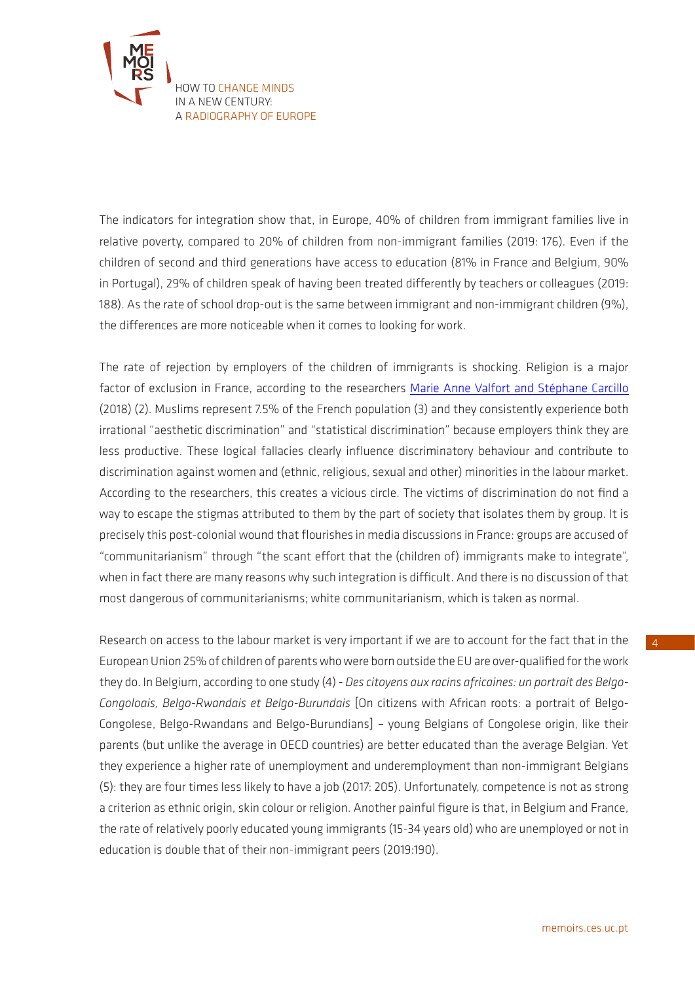

The indicators for integration show that, in Europe, 40% of children from immigrant families live in relative poverty, compared to 20% of children from non-immigrant families (2019: 176). Even if the children of second and third generations have access to education (81% in France and Belgium, 90% in Portugal), 29% of children speak of having been treated differently by teachers or colleagues (2019: 188). As the rate of school drop-out is the same between immigrant and non-immigrant children (9%), the differences are more noticeable when it comes to looking for work.

The rate of rejection by employers of the children of immigrants is shocking. Religion is a major factor of exclusion in France, according to the researchers [Marie Anne Valfort and Stéphane Carcillo](https://www.cairn.info/les-discriminations-au-travail--9782724623505.htm) (2018) (2). Muslims represent 7.5% of the French population (3) and they consistently experience both irrational "aesthetic discrimination" and "statistical discrimination" because employers think they are less productive. These logical fallacies clearly influence discriminatory behaviour and contribute to discrimination against women and (ethnic, religious, sexual and other) minorities in the labour market. According to the researchers, this creates a vicious circle. The victims of discrimination do not find a way to escape the stigmas attributed to them by the part of society that isolates them by group. It is precisely this post-colonial wound that flourishes in media discussions in France: groups are accused of "communitarianism" through "the scant effort that the (children of) immigrants make to integrate", when in fact there are many reasons why such integration is difficult. And there is no discussion of that most dangerous of communitarianisms; white communitarianism, which is taken as normal.

Research on access to the labour market is very important if we are to account for the fact that in the European Union 25% of children of parents who were born outside the EU are over-qualified for the work they do. In Belgium, according to one study (4) - *Des citoyens aux racins africaines: un portrait des Belgo-Congoloais, Belgo-Rwandais et Belgo-Burundais* [On citizens with African roots: a portrait of Belgo-Congolese, Belgo-Rwandans and Belgo-Burundians] – young Belgians of Congolese origin, like their parents (but unlike the average in OECD countries) are better educated than the average Belgian. Yet they experience a higher rate of unemployment and underemployment than non-immigrant Belgians (5): they are four times less likely to have a job (2017: 205). Unfortunately, competence is not as strong a criterion as ethnic origin, skin colour or religion. Another painful figure is that, in Belgium and France, the rate of relatively poorly educated young immigrants (15-34 years old) who are unemployed or not in education is double that of their non-immigrant peers (2019:190).